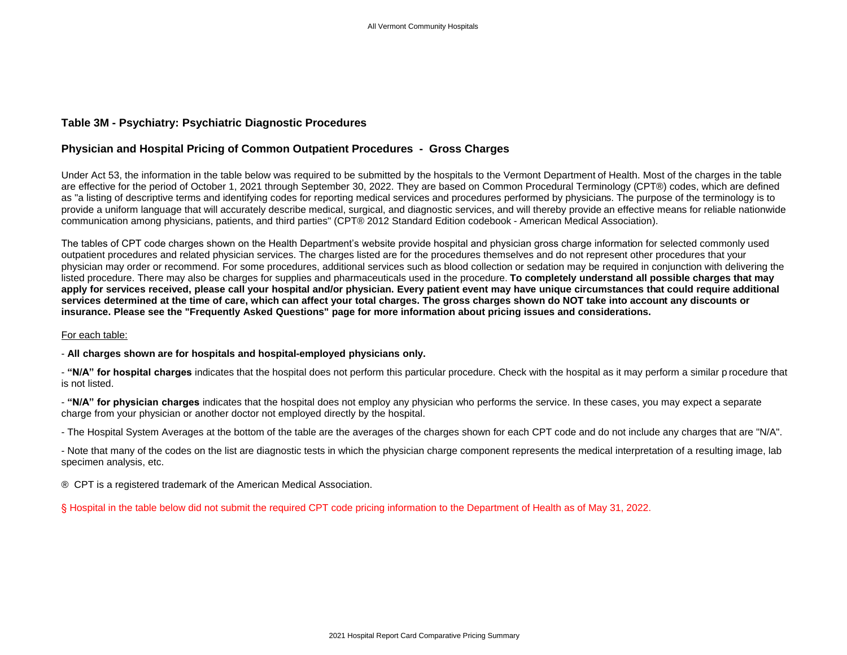## **Table 3M - Psychiatry: Psychiatric Diagnostic Procedures**

## **Physician and Hospital Pricing of Common Outpatient Procedures - Gross Charges**

Under Act 53, the information in the table below was required to be submitted by the hospitals to the Vermont Department of Health. Most of the charges in the table are effective for the period of October 1, 2021 through September 30, 2022. They are based on Common Procedural Terminology (CPT®) codes, which are defined as "a listing of descriptive terms and identifying codes for reporting medical services and procedures performed by physicians. The purpose of the terminology is to provide a uniform language that will accurately describe medical, surgical, and diagnostic services, and will thereby provide an effective means for reliable nationwide communication among physicians, patients, and third parties" (CPT® 2012 Standard Edition codebook - American Medical Association).

The tables of CPT code charges shown on the Health Department's website provide hospital and physician gross charge information for selected commonly used outpatient procedures and related physician services. The charges listed are for the procedures themselves and do not represent other procedures that your physician may order or recommend. For some procedures, additional services such as blood collection or sedation may be required in conjunction with delivering the listed procedure. There may also be charges for supplies and pharmaceuticals used in the procedure. **To completely understand all possible charges that may apply for services received, please call your hospital and/or physician. Every patient event may have unique circumstances that could require additional services determined at the time of care, which can affect your total charges. The gross charges shown do NOT take into account any discounts or insurance. Please see the "Frequently Asked Questions" page for more information about pricing issues and considerations.**

## For each table:

- **All charges shown are for hospitals and hospital-employed physicians only.**

- **"N/A" for hospital charges** indicates that the hospital does not perform this particular procedure. Check with the hospital as it may perform a similar p rocedure that is not listed.

- **"N/A" for physician charges** indicates that the hospital does not employ any physician who performs the service. In these cases, you may expect a separate charge from your physician or another doctor not employed directly by the hospital.

- The Hospital System Averages at the bottom of the table are the averages of the charges shown for each CPT code and do not include any charges that are "N/A".

- Note that many of the codes on the list are diagnostic tests in which the physician charge component represents the medical interpretation of a resulting image, lab specimen analysis, etc.

® CPT is a registered trademark of the American Medical Association.

§ Hospital in the table below did not submit the required CPT code pricing information to the Department of Health as of May 31, 2022.